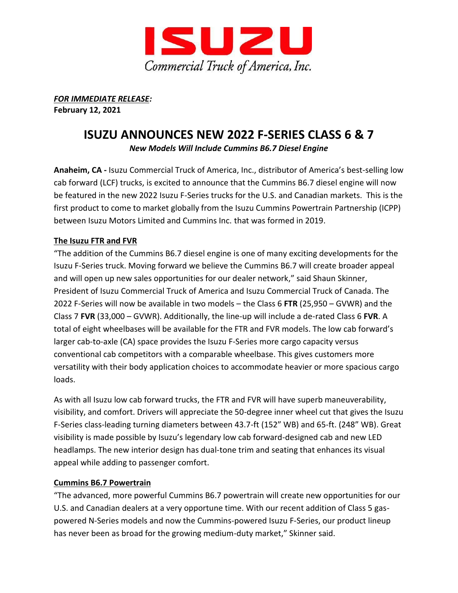

*FOR IMMEDIATE RELEASE:* **February 12, 2021**

# **ISUZU ANNOUNCES NEW 2022 F-SERIES CLASS 6 & 7**

*New Models Will Include Cummins B6.7 Diesel Engine* 

**Anaheim, CA -** Isuzu Commercial Truck of America, Inc., distributor of America's best-selling low cab forward (LCF) trucks, is excited to announce that the Cummins B6.7 diesel engine will now be featured in the new 2022 Isuzu F-Series trucks for the U.S. and Canadian markets. This is the first product to come to market globally from the Isuzu Cummins Powertrain Partnership (ICPP) between Isuzu Motors Limited and Cummins Inc. that was formed in 2019.

### **The Isuzu FTR and FVR**

"The addition of the Cummins B6.7 diesel engine is one of many exciting developments for the Isuzu F-Series truck. Moving forward we believe the Cummins B6.7 will create broader appeal and will open up new sales opportunities for our dealer network," said Shaun Skinner, President of Isuzu Commercial Truck of America and Isuzu Commercial Truck of Canada. The 2022 F-Series will now be available in two models – the Class 6 **FTR** (25,950 – GVWR) and the Class 7 **FVR** (33,000 – GVWR). Additionally, the line-up will include a de-rated Class 6 **FVR**. A total of eight wheelbases will be available for the FTR and FVR models. The low cab forward's larger cab-to-axle (CA) space provides the Isuzu F-Series more cargo capacity versus conventional cab competitors with a comparable wheelbase. This gives customers more versatility with their body application choices to accommodate heavier or more spacious cargo loads.

As with all Isuzu low cab forward trucks, the FTR and FVR will have superb maneuverability, visibility, and comfort. Drivers will appreciate the 50-degree inner wheel cut that gives the Isuzu F-Series class-leading turning diameters between 43.7-ft (152" WB) and 65-ft. (248" WB). Great visibility is made possible by Isuzu's legendary low cab forward-designed cab and new LED headlamps. The new interior design has dual-tone trim and seating that enhances its visual appeal while adding to passenger comfort.

#### **Cummins B6.7 Powertrain**

"The advanced, more powerful Cummins B6.7 powertrain will create new opportunities for our U.S. and Canadian dealers at a very opportune time. With our recent addition of Class 5 gaspowered N-Series models and now the Cummins-powered Isuzu F-Series, our product lineup has never been as broad for the growing medium-duty market," Skinner said.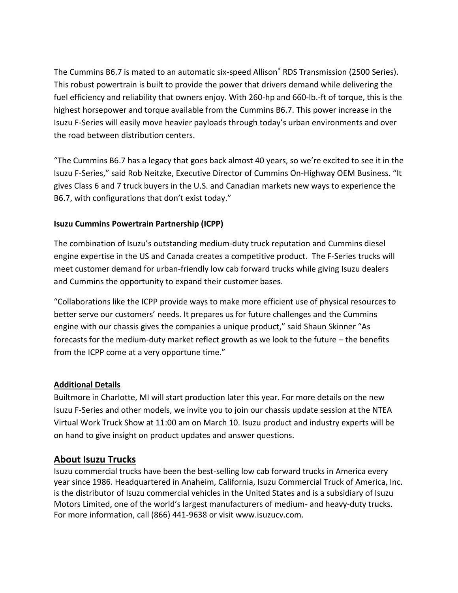The Cummins B6.7 is mated to an automatic six-speed Allison® RDS Transmission (2500 Series). This robust powertrain is built to provide the power that drivers demand while delivering the fuel efficiency and reliability that owners enjoy. With 260-hp and 660-lb.-ft of torque, this is the highest horsepower and torque available from the Cummins B6.7. This power increase in the Isuzu F-Series will easily move heavier payloads through today's urban environments and over the road between distribution centers.

"The Cummins B6.7 has a legacy that goes back almost 40 years, so we're excited to see it in the Isuzu F-Series," said Rob Neitzke, Executive Director of Cummins On-Highway OEM Business. "It gives Class 6 and 7 truck buyers in the U.S. and Canadian markets new ways to experience the B6.7, with configurations that don't exist today."

#### **Isuzu Cummins Powertrain Partnership (ICPP)**

The combination of Isuzu's outstanding medium-duty truck reputation and Cummins diesel engine expertise in the US and Canada creates a competitive product. The F-Series trucks will meet customer demand for urban-friendly low cab forward trucks while giving Isuzu dealers and Cummins the opportunity to expand their customer bases.

"Collaborations like the ICPP provide ways to make more efficient use of physical resources to better serve our customers' needs. It prepares us for future challenges and the Cummins engine with our chassis gives the companies a unique product," said Shaun Skinner "As forecasts for the medium-duty market reflect growth as we look to the future – the benefits from the ICPP come at a very opportune time."

#### **Additional Details**

Builtmore in Charlotte, MI will start production later this year. For more details on the new Isuzu F-Series and other models, we invite you to join our chassis update session at the NTEA Virtual Work Truck Show at 11:00 am on March 10. Isuzu product and industry experts will be on hand to give insight on product updates and answer questions.

## **About Isuzu Trucks**

Isuzu commercial trucks have been the best-selling low cab forward trucks in America every year since 1986. Headquartered in Anaheim, California, Isuzu Commercial Truck of America, Inc. is the distributor of Isuzu commercial vehicles in the United States and is a subsidiary of Isuzu Motors Limited, one of the world's largest manufacturers of medium- and heavy-duty trucks. For more information, call (866) 441-9638 or visit www.isuzucv.com.